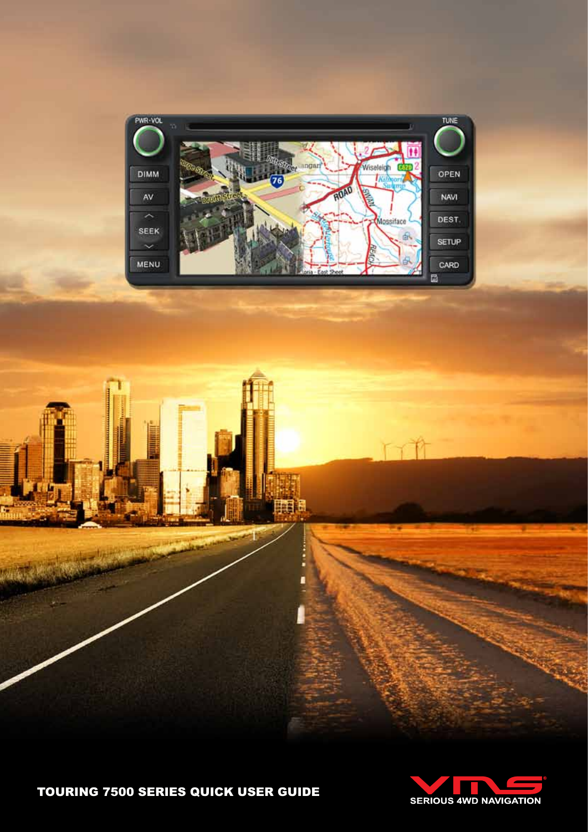

ji) a

ļ





ritt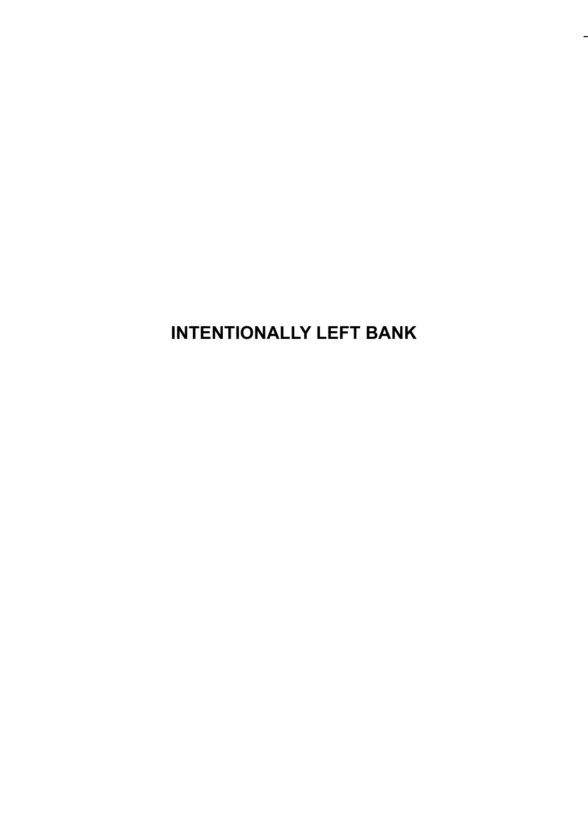**INTENTIONALLY LEFT BANK**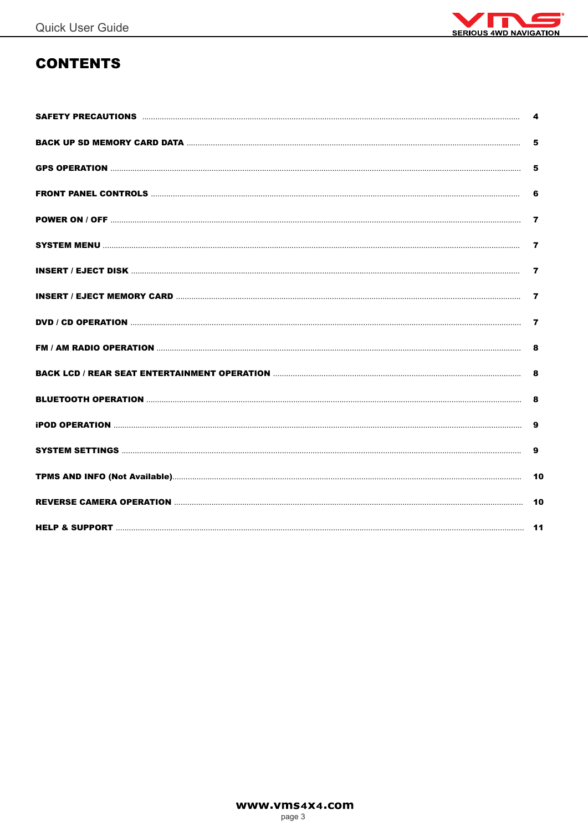

# **CONTENTS**

| 4                       |
|-------------------------|
| 5                       |
| 5                       |
| 6                       |
| 7                       |
| $\overline{\mathbf{z}}$ |
| $\overline{\mathbf{z}}$ |
| $\overline{7}$          |
| $\overline{7}$          |
| 8                       |
| 8                       |
| 8                       |
| 9                       |
| 9                       |
|                         |
|                         |
|                         |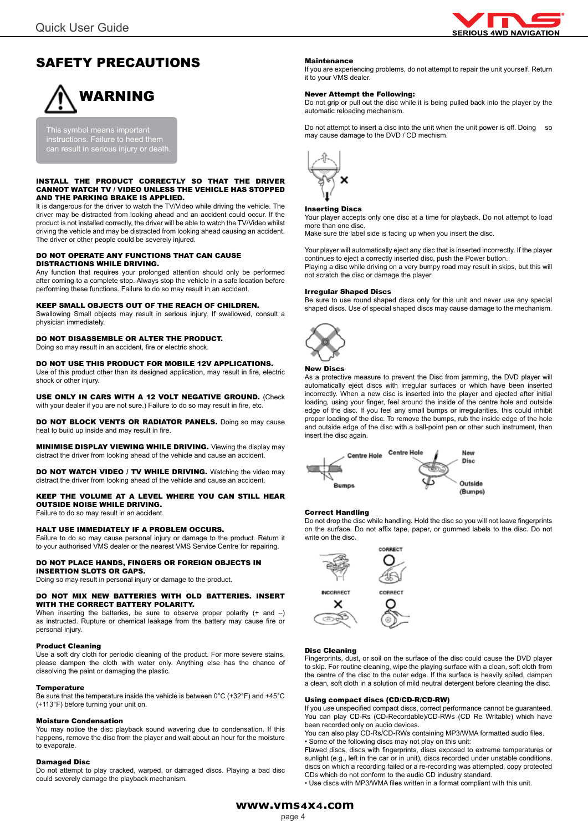

# SAFETY PRECAUTIONS

# WARNING

This symbol means important instructions. Failure to heed them can result in serious injury or death.

#### INSTALL THE PRODUCT CORRECTLY SO THAT THE DRIVER CANNOT WATCH TV / VIDEO UNLESS THE VEHICLE HAS STOPPED AND THE PARKING BRAKE IS APPLIED.

It is dangerous for the driver to watch the TV/Video while driving the vehicle. The driver may be distracted from looking ahead and an accident could occur. If the product is not installed correctly, the driver will be able to watch the TV/Video whilst driving the vehicle and may be distracted from looking ahead causing an accident. The driver or other people could be severely injured.

#### DO NOT OPERATE ANY FUNCTIONS THAT CAN CAUSE DISTRACTIONS WHILE DRIVING.

Any function that requires your prolonged attention should only be performed after coming to a complete stop. Always stop the vehicle in a safe location before performing these functions. Failure to do so may result in an accident.

#### KEEP SMALL OBJECTS OUT OF THE REACH OF CHILDREN.

Swallowing Small objects may result in serious injury. If swallowed, consult a physician immediately.

#### DO NOT DISASSEMBLE OR ALTER THE PRODUCT.

Doing so may result in an accident, fire or electric shock.

#### DO NOT USE THIS PRODUCT FOR MOBILE 12V APPLICATIONS.

Use of this product other than its designed application, may result in fire, electric shock or other injury.

USE ONLY IN CARS WITH A 12 VOLT NEGATIVE GROUND. (Check with your dealer if you are not sure.) Failure to do so may result in fire, etc.

DO NOT BLOCK VENTS OR RADIATOR PANELS. Doing so may cause heat to build up inside and may result in fire.

MINIMISE DISPLAY VIEWING WHILE DRIVING. Viewing the display may distract the driver from looking ahead of the vehicle and cause an accident.

DO NOT WATCH VIDEO / TV WHILE DRIVING. Watching the video may distract the driver from looking ahead of the vehicle and cause an accident.

KEEP THE VOLUME AT A LEVEL WHERE YOU CAN STILL HEAR OUTSIDE NOISE WHILE DRIVING.

Failure to do so may result in an accident.

#### HALT USE IMMEDIATELY IF A PROBLEM OCCURS.

Failure to do so may cause personal injury or damage to the product. Return it to your authorised VMS dealer or the nearest VMS Service Centre for repairing.

#### DO NOT PLACE HANDS, FINGERS OR FOREIGN OBJECTS IN INSERTION SLOTS OR GAPS.

Doing so may result in personal injury or damage to the product.

#### DO NOT MIX NEW BATTERIES WITH OLD BATTERIES. INSERT WITH THE CORRECT BATTERY POLARITY.

When inserting the batteries, be sure to observe proper polarity  $(+)$  and  $-)$ as instructed. Rupture or chemical leakage from the battery may cause fire or personal injury.

#### Product Cleaning

Use a soft dry cloth for periodic cleaning of the product. For more severe stains, please dampen the cloth with water only. Anything else has the chance of dissolving the paint or damaging the plastic.

#### **Temperature**

Be sure that the temperature inside the vehicle is between 0°C (+32°F) and +45°C (+113°F) before turning your unit on.

#### Moisture Condensation

You may notice the disc playback sound wavering due to condensation. If this happens, remove the disc from the player and wait about an hour for the moisture to evaporate.

#### Damaged Disc

Do not attempt to play cracked, warped, or damaged discs. Playing a bad disc could severely damage the playback mechanism.

#### Maintenance

If you are experiencing problems, do not attempt to repair the unit yourself. Return it to your VMS dealer.

#### Never Attempt the Following:

Do not grip or pull out the disc while it is being pulled back into the player by the automatic reloading mechanism.

Do not attempt to insert a disc into the unit when the unit power is off. Doing so may cause damage to the DVD / CD mechism.



#### Inserting Discs

Your player accepts only one disc at a time for playback. Do not attempt to load more than one disc.

Make sure the label side is facing up when you insert the disc.

Your player will automatically eject any disc that is inserted incorrectly. If the player continues to eject a correctly inserted disc, push the Power button. Playing a disc while driving on a very bumpy road may result in skips, but this will not scratch the disc or damage the player.

#### Irregular Shaped Discs

Be sure to use round shaped discs only for this unit and never use any special shaped discs. Use of special shaped discs may cause damage to the mechanism.



#### New Discs

As a protective measure to prevent the Disc from jamming, the DVD player will automatically eject discs with irregular surfaces or which have been inserted incorrectly. When a new disc is inserted into the player and ejected after initial loading, using your finger, feel around the inside of the centre hole and outside edge of the disc. If you feel any small bumps or irregularities, this could inhibit proper loading of the disc. To remove the bumps, rub the inside edge of the hole and outside edge of the disc with a ball-point pen or other such instrument, then insert the disc again.



#### Correct Handling

Do not drop the disc while handling. Hold the disc so you will not leave fingerprints on the surface. Do not affix tape, paper, or gummed labels to the disc. Do not write on the disc.



#### Disc Cleaning

Fingerprints, dust, or soil on the surface of the disc could cause the DVD player to skip. For routine cleaning, wipe the playing surface with a clean, soft cloth from the centre of the disc to the outer edge. If the surface is heavily soiled, dampen a clean, soft cloth in a solution of mild neutral detergent before cleaning the disc.

#### Using compact discs (CD/CD-R/CD-RW)

If you use unspecified compact discs, correct performance cannot be guaranteed. You can play CD-Rs (CD-Recordable)/CD-RWs (CD Re Writable) which have been recorded only on audio devices.

You can also play CD-Rs/CD-RWs containing MP3/WMA formatted audio files. • Some of the following discs may not play on this unit:

Flawed discs, discs with fingerprints, discs exposed to extreme temperatures or sunlight (e.g., left in the car or in unit), discs recorded under unstable conditions, discs on which a recording failed or a re-recording was attempted, copy protected CDs which do not conform to the audio CD industry standard.

• Use discs with MP3/WMA files written in a format compliant with this unit.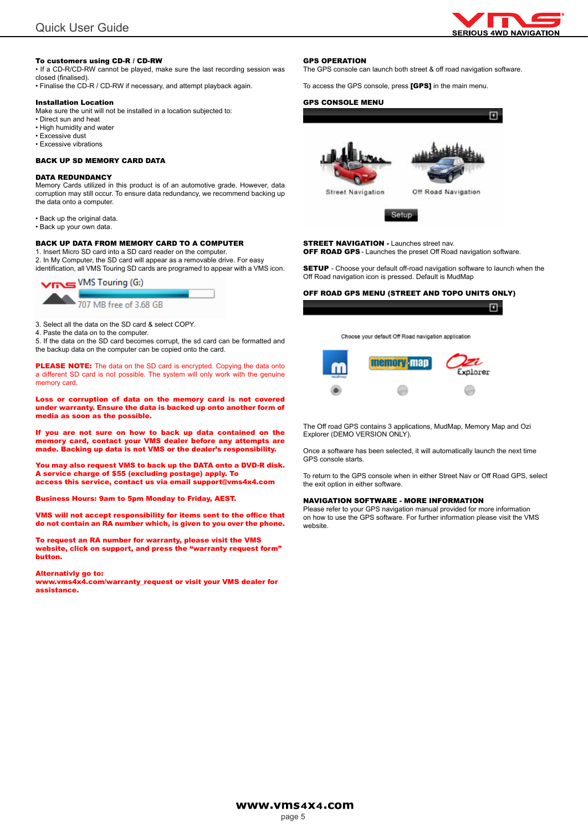

#### To customers using CD-R / CD-RW

• If a CD-R/CD-RW cannot be played, make sure the last recording session was closed (finalised).

• Finalise the CD-R / CD-RW if necessary, and attempt playback again.

#### Installation Location

Make sure the unit will not be installed in a location subjected to:

- Direct sun and heat
- High humidity and water • Excessive dust
- Excessive vibrations

#### BACK UP SD MEMORY CARD DATA

#### DATA REDUNDANCY

Memory Cards utilized in this product is of an automotive grade. However, data corruption may still occur. To ensure data redundancy, we recommend backing up the data onto a computer.

- Back up the original data.
- Back up your own data.

#### BACK UP DATA FROM MEMORY CARD TO A COMPUTER

1. Insert Micro SD card into a SD card reader on the computer. 2. In My Computer, the SD card will appear as a removable drive. For easy identification, all VMS Touring SD cards are programed to appear with a VMS icon.



3. Select all the data on the SD card & select COPY.

4. Paste the data on to the computer.

5. If the data on the SD card becomes corrupt, the sd card can be formatted and the backup data on the computer can be copied onto the card.

PLEASE NOTE: The data on the SD card is encrypted. Copying the data onto a different SD card is not possible. The system will only work with the genuine memory card.

Loss or corruption of data on the memory card is not covered under warranty. Ensure the data is backed up onto another form of media as soon as the possible.

If you are not sure on how to back up data contained on the memory card, contact your VMS dealer before any attempts are made. Backing up data is not VMS or the dealer's responsibility.

You may also request VMS to back up the DATA onto a DVD-R disk. A service charge of \$55 (excluding postage) apply. To access this service, contact us via email support@vms4x4.com

Business Hours: 9am to 5pm Monday to Friday, AEST.

VMS will not accept responsibility for items sent to the office that do not contain an RA number which, is given to you over the phone.

To request an RA number for warranty, please visit the VMS website, click on support, and press the "warranty request form" button.

#### Alternativly go to:

www.vms4x4.com/warranty\_request or visit your VMS dealer for assistance.

#### GPS OPERATION

The GPS console can launch both street & off road navigation software.

To access the GPS console, press [GPS] in the main menu.

#### GPS CONSOLE MENU





Off Road Navigation

**Street Navigation** 



**STREET NAVIGATION - Launches street nav. OFF ROAD GPS** - Launches the preset Off Road navigation software.

**SETUP** - Choose your default off-road navigation software to launch when the Off Road navigation icon is pressed. Default is MudMap

#### OFF ROAD GPS MENU (STREET AND TOPO UNITS ONLY)

| Choose your default Off Road navigation application |  |
|-----------------------------------------------------|--|
|                                                     |  |



The Off road GPS contains 3 applications, MudMap, Memory Map and Ozi Explorer (DEMO VERSION ONLY).

Once a software has been selected, it will automatically launch the next time GPS console starts.

To return to the GPS console when in either Street Nav or Off Road GPS, select the exit option in either software.

#### NAVIGATION SOFTWARE - MORE INFORMATION

Please refer to your GPS navigation manual provided for more information on how to use the GPS software. For further information please visit the VMS website.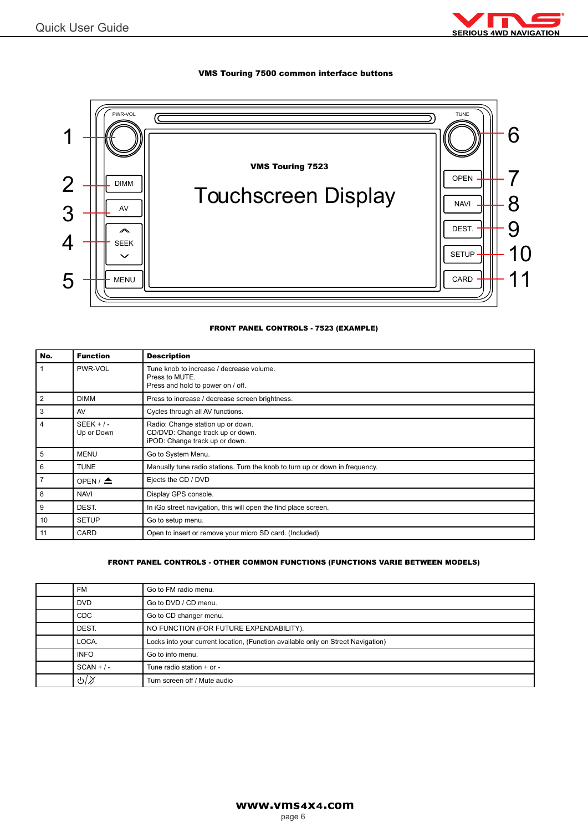

#### VMS Touring 7500 common interface buttons



#### FRONT PANEL CONTROLS - 7523 (EXAMPLE)

| No. | <b>Function</b>            | <b>Description</b>                                                                                      |
|-----|----------------------------|---------------------------------------------------------------------------------------------------------|
|     | PWR-VOL                    | Tune knob to increase / decrease volume.<br>Press to MUTE.<br>Press and hold to power on / off.         |
| 2   | <b>DIMM</b>                | Press to increase / decrease screen brightness.                                                         |
| 3   | AV                         | Cycles through all AV functions.                                                                        |
| 4   | $SEEK + / -$<br>Up or Down | Radio: Change station up or down.<br>CD/DVD: Change track up or down.<br>iPOD: Change track up or down. |
| 5   | <b>MENU</b>                | Go to System Menu.                                                                                      |
| 6   | <b>TUNE</b>                | Manually tune radio stations. Turn the knob to turn up or down in frequency.                            |
| 7   | OPEN / $\triangle$         | Ejects the CD / DVD                                                                                     |
| 8   | <b>NAVI</b>                | Display GPS console.                                                                                    |
| 9   | DEST.                      | In iGo street navigation, this will open the find place screen.                                         |
| 10  | <b>SETUP</b>               | Go to setup menu.                                                                                       |
| 11  | CARD                       | Open to insert or remove your micro SD card. (Included)                                                 |

#### FRONT PANEL CONTROLS - OTHER COMMON FUNCTIONS (FUNCTIONS VARIE BETWEEN MODELS)

| <b>FM</b>                 | Go to FM radio menu.                                                             |
|---------------------------|----------------------------------------------------------------------------------|
| <b>DVD</b>                | Go to DVD / CD menu.                                                             |
| <b>CDC</b>                | Go to CD changer menu.                                                           |
| DEST.                     | NO FUNCTION (FOR FUTURE EXPENDABILITY).                                          |
| LOCA.                     | Locks into your current location, (Function available only on Street Navigation) |
| <b>INFO</b>               | Go to info menu.                                                                 |
| $SCAN + / -$              | Tune radio station + or -                                                        |
| $\mathcal{O}(\mathbb{M})$ | Turn screen off / Mute audio                                                     |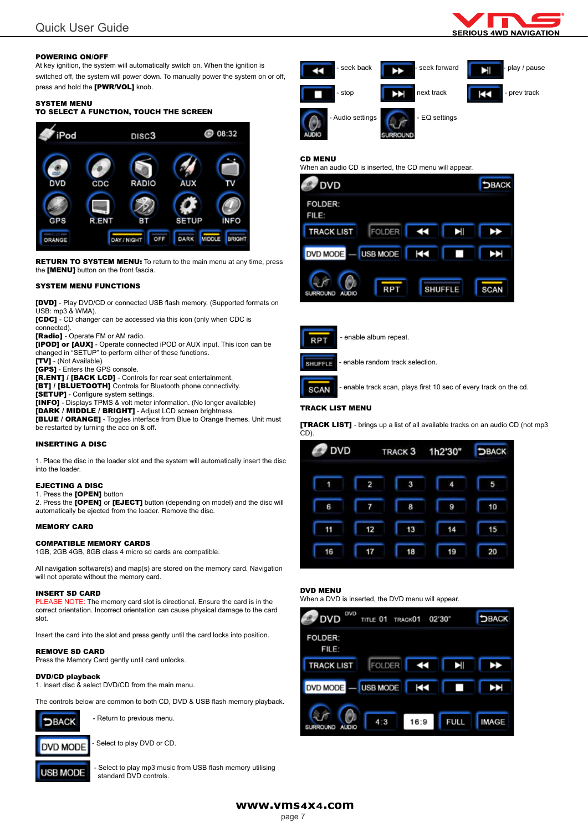#### POWERING ON/OFF

At key ignition, the system will automatically switch on. When the ignition is switched off, the system will power down. To manually power the system on or off, press and hold the [PWR/VOL] knob.

#### SYSTEM MENU

#### TO SELECT A FUNCTION, TOUCH THE SCREEN



**RETURN TO SYSTEM MENU:** To return to the main menu at any time, press the [MENU] button on the front fascia.

#### SYSTEM MENU FUNCTIONS

[DVD] - Play DVD/CD or connected USB flash memory. (Supported formats on USB: mp3 & WMA).

[CDC] - CD changer can be accessed via this icon (only when CDC is connected).

**[Radio]** - Operate FM or AM radio.

**[iPOD] or [AUX]** - Operate connected iPOD or AUX input. This icon can be changed in "SETUP" to perform either of these functions.

[TV] - (Not Available)

[GPS] - Enters the GPS console.

[R.ENT] / [BACK LCD] - Controls for rear seat entertainment. [BT] / [BLUETOOTH] Controls for Bluetooth phone connectivity.

[SETUP] - Configure system settings.

[INFO] - Displays TPMS & volt meter information. (No longer available)

[DARK / MIDDLE / BRIGHT] - Adjust LCD screen brightness.

[BLUE / ORANGE] - Toggles interface from Blue to Orange themes. Unit must be restarted by turning the acc on & off.

#### INSERTING A DISC

1. Place the disc in the loader slot and the system will automatically insert the disc into the loader.

#### EJECTING A DISC

#### 1. Press the [OPEN] button

2. Press the [OPEN] or [EJECT] button (depending on model) and the disc will automatically be ejected from the loader. Remove the disc.

#### MEMORY CARD

#### COMPATIBLE MEMORY CARDS

1GB, 2GB 4GB, 8GB class 4 micro sd cards are compatible.

All navigation software(s) and map(s) are stored on the memory card. Navigation will not operate without the memory card.

#### INSERT SD CARD

PLEASE NOTE: The memory card slot is directional. Ensure the card is in the correct orientation. Incorrect orientation can cause physical damage to the card slot.

Insert the card into the slot and press gently until the card locks into position.

#### REMOVE SD CARD

Press the Memory Card gently until card unlocks.

#### DVD/CD playback

1. Insert disc & select DVD/CD from the main menu.

The controls below are common to both CD, DVD & USB flash memory playback.



- Return to previous menu.



Select to play DVD or CD.



Select to play mp3 music from USB flash memory utilising standard DVD controls.



#### CD MENU

When an audio CD is inserted, the CD menu will appear.





- enable album repeat.



- enable random track selection.

**SCAN** 

- enable track scan, plays first 10 sec of every track on the cd.

#### TRACK LIST MENU

[TRACK LIST] - brings up a list of all available tracks on an audio CD (not mp3 CD).

| <b>DVD</b> |    | TRACK <sub>3</sub> | 1h2'30" | DBACK |
|------------|----|--------------------|---------|-------|
| 1          | 2  | 3                  | 4       | 5     |
| 6          | 7  | 8                  | 9       | 10    |
| 11         | 12 | 13                 | 14      | 15    |
| 16         | 17 | 18                 | 19      | 20    |

### DVD MENU

When a DVD is inserted, the DVD menu will appear.



www.vms4X4.com

#### page 7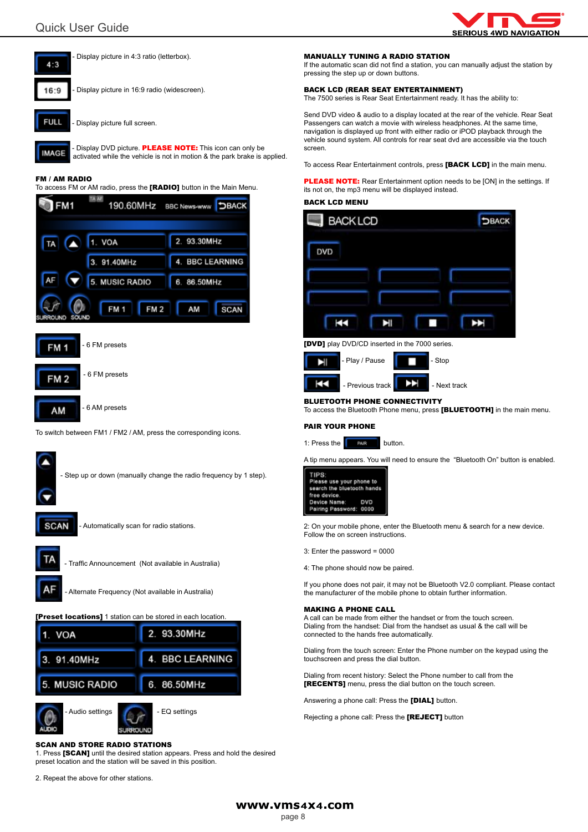



**IMAGE** activated while the vehicle is not in motion & the park brake is applied.

#### FM / AM RADIO

To access FM or AM radio, press the [RADIO] button in the Main Menu.



To switch between FM1 / FM2 / AM, press the corresponding icons.





5.

Audio settings **COLLEGE ALCOHOL** - EQ settings

6.

86.50MHz

#### SCAN AND STORE RADIO STATIONS

1. Press [SCAN] until the desired station appears. Press and hold the desired preset location and the station will be saved in this position.

2. Repeat the above for other stations.

**MUSIC RADIO** 

#### MANUALLY TUNING A RADIO STATION

If the automatic scan did not find a station, you can manually adjust the station by pressing the step up or down buttons.

#### BACK LCD (REAR SEAT ENTERTAINMENT)

The 7500 series is Rear Seat Entertainment ready. It has the ability to:

Send DVD video & audio to a display located at the rear of the vehicle. Rear Seat Passengers can watch a movie with wireless headphones. At the same time, navigation is displayed up front with either radio or iPOD playback through the vehicle sound system. All controls for rear seat dvd are accessible via the touch screen.

To access Rear Entertainment controls, press [BACK LCD] in the main menu.

**PLEASE NOTE:** Rear Entertainment option needs to be [ON] in the settings. If its not on, the mp3 menu will be displayed instead.

#### BACK LCD MENU



**[DVD]** play DVD/CD inserted in the 7000 series.

| - Play / Pause   | - Stop       |
|------------------|--------------|
| - Previous track | - Next track |

#### BLUETOOTH PHONE CONNECTIVITY

To access the Bluetooth Phone menu, press [BLUETOOTH] in the main menu.

#### PAIR YOUR PHONE

1: Press the  $\sqrt{P+RP}$  button.

A tip menu appears. You will need to ensure the "Bluetooth On" button is enabled.



2: On your mobile phone, enter the Bluetooth menu & search for a new device. Follow the on screen instructions.

3: Enter the password = 0000

4: The phone should now be paired.

If you phone does not pair, it may not be Bluetooth V2.0 compliant. Please contact the manufacturer of the mobile phone to obtain further information.

#### MAKING A PHONE CALL

A call can be made from either the handset or from the touch screen. Dialing from the handset: Dial from the handset as usual & the call will be connected to the hands free automatically.

Dialing from the touch screen: Enter the Phone number on the keypad using the touchscreen and press the dial button.

Dialing from recent history: Select the Phone number to call from the [RECENTS] menu, press the dial button on the touch screen.

Answering a phone call: Press the [DIAL] button.

Rejecting a phone call: Press the [REJECT] button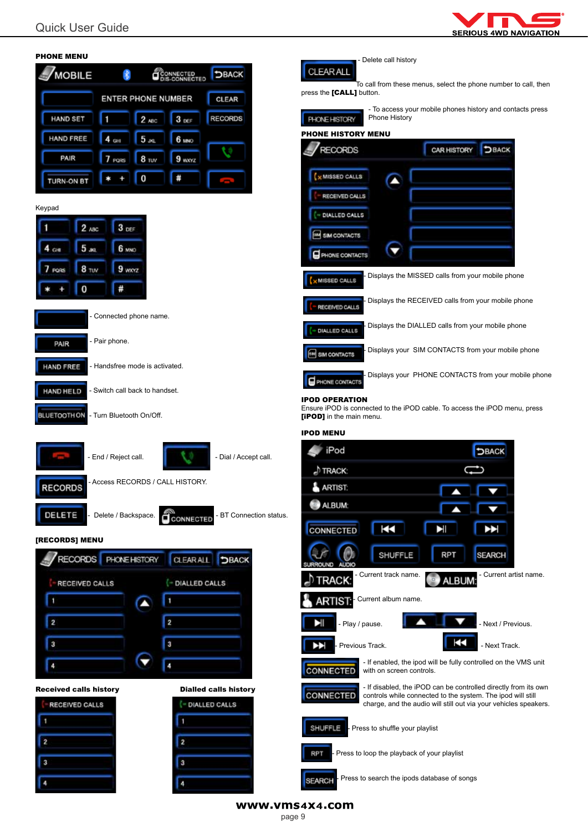

| <b>PHONE MENU</b>                                                    | - Delete call history                                                                                                                              |
|----------------------------------------------------------------------|----------------------------------------------------------------------------------------------------------------------------------------------------|
| <b>MOBILE</b><br><b>DBACK</b><br>CONNECTED<br>DIS-CONNECTED<br>孝     | CLEAR ALL<br>To call from these menus, select the phone number to call, then                                                                       |
| <b>ENTER PHONE NUMBER</b><br><b>CLEAR</b>                            | press the [CALL] button.                                                                                                                           |
| <b>HAND SET</b><br><b>RECORDS</b><br>3000<br>п<br>$2$ ABC            | - To access your mobile phones history and contacts press<br>Phone History<br>PHONE HISTORY                                                        |
| <b>HAND FREE</b><br>6 мю<br>5 <sub>4</sub><br>GH                     | <b>PHONE HISTORY MENU</b>                                                                                                                          |
| PAIR<br>8 <sub>TV</sub><br>9 wxyz<br>PORS                            | <b>RECORDS</b><br><b>DBACK</b><br><b>CAR HISTORY</b>                                                                                               |
| #<br>0<br>TURN-ON BT                                                 | <b>X MISSED CALLS</b><br>$\blacksquare$                                                                                                            |
| Keypad                                                               | RECEIVED CALLS                                                                                                                                     |
| $3$ DEF<br>2 <sub>ABC</sub>                                          | - DIALLED CALLS                                                                                                                                    |
| 5 <sub>302</sub><br>6 MNO<br>$4$ on                                  | SIM CONTACTS<br>▼<br>PHONE CONTACTS                                                                                                                |
| $9$ wx $xz$<br>8 <sub>TW</sub><br>7 PORS                             | Displays the MISSED calls from your mobile phone                                                                                                   |
| #<br>0                                                               | MISSED CALLS                                                                                                                                       |
| Connected phone name.                                                | Displays the RECEIVED calls from your mobile phone<br>RECEIVED CALLS                                                                               |
|                                                                      | Displays the DIALLED calls from your mobile phone<br>DIALLED CALLS                                                                                 |
| - Pair phone.<br>PAIR                                                | Displays your SIM CONTACTS from your mobile phone<br><b>SIM CONTACTS</b>                                                                           |
| - Handsfree mode is activated.<br><b>HAND FREE</b>                   | Displays your PHONE CONTACTS from your mobile phone<br>PHONE CONTACTS                                                                              |
| - Switch call back to handset.<br><b>HAND HELD</b>                   | <b>IPOD OPERATION</b>                                                                                                                              |
| <b>BLUETOOTH ON</b><br>- Turn Bluetooth On/Off.                      | Ensure iPOD is connected to the iPOD cable. To access the iPOD menu, press<br>[iPOD] in the main menu.                                             |
|                                                                      |                                                                                                                                                    |
|                                                                      | <b>IPOD MENU</b>                                                                                                                                   |
| - End / Reject call.<br>- Dial / Accept call.                        | iPod<br><b>DBACK</b>                                                                                                                               |
| - Access RECORDS / CALL HISTORY.                                     | ") TRACK:                                                                                                                                          |
| <b>RECORDS</b>                                                       | ARTIST:                                                                                                                                            |
| DELETE<br>Delete / Backspace.<br>BT Connection status.<br>CCONNECTED | ALBUM:                                                                                                                                             |
| [RECORDS] MENU                                                       | ž<br><b>CONNECTED</b><br>EI                                                                                                                        |
| RECORDS PHONE HISTORY<br>CLEAR ALL DBACK                             | <b>SHUFFLE</b><br><b>RPT</b><br><b>SEARCH</b><br>ALI <sub>D</sub>                                                                                  |
| - DIALLED CALLS<br><b>RECEIVED CALLS</b>                             | Current artist name.<br>- Current track name.<br><b>O</b> ALBUM:<br>TRACK:                                                                         |
| ٠<br>$\blacktriangle$                                                | Current album name.<br><b>ARTIST:</b>                                                                                                              |
| $\overline{\mathbf{2}}$<br>$\overline{2}$                            | Ы<br>Next / Previous.<br>- Play / pause.                                                                                                           |
| $\overline{3}$<br>3                                                  | Œ<br>- Previous Track.<br>ÞЭ<br>- Next Track.                                                                                                      |
| и<br>4                                                               | - If enabled, the ipod will be fully controlled on the VMS unit<br><b>CONNECTED</b><br>with on screen controls.                                    |
| <b>Received calls history</b><br><b>Dialled calls history</b>        | - If disabled, the iPOD can be controlled directly from its own<br><b>CONNECTED</b><br>controls while connected to the system. The ipod will still |
| RECEIVED CALLS<br>- DIALLED CALLS                                    | charge, and the audio will still out via your vehicles speakers.                                                                                   |
| $\overline{2}$<br>$\overline{2}$                                     | SHUFFLE<br>- Press to shuffle your playlist                                                                                                        |
| 3<br>3                                                               | - Press to loop the playback of your playlist<br><b>RPT</b>                                                                                        |
|                                                                      | Press to search the ipods database of songs<br><b>SEARCH</b>                                                                                       |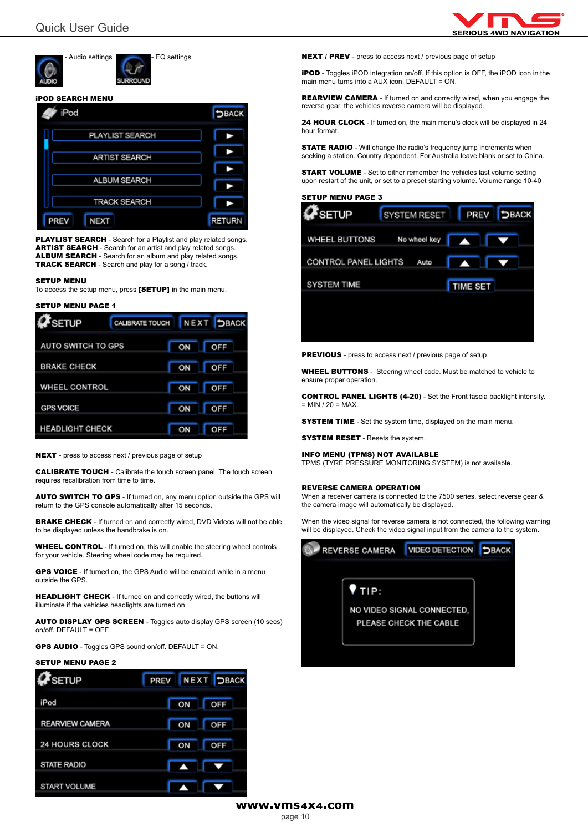

Audio settings **COLLEGAN ALL AUDIO SETTING** 

#### iPOD SEARCH MENU



PLAYLIST SEARCH - Search for a Playlist and play related songs. ARTIST SEARCH - Search for an artist and play related songs. ALBUM SEARCH - Search for an album and play related songs. TRACK SEARCH - Search and play for a song / track.

#### SETUP MENU

To access the setup menu, press [SETUP] in the main menu.

## SETUP MENU PAGE 1  $\overline{ }$

| $M \geq 10P$           | <b>UNUDIVALE I UUUN III IN EALIE</b> |    | <b>DBAGN</b> |
|------------------------|--------------------------------------|----|--------------|
| AUTO SWITCH TO GPS     |                                      | ON | OFF          |
| <b>BRAKE CHECK</b>     |                                      | ON | OFF          |
| <b>WHEEL CONTROL</b>   |                                      | ON | OFF          |
| <b>GPS VOICE</b>       |                                      | ON | OFF          |
| <b>HEADLIGHT CHECK</b> |                                      | ON | OFF          |

——

NEXT - press to access next / previous page of setup

CALIBRATE TOUCH - Calibrate the touch screen panel, The touch screen requires recalibration from time to time.

AUTO SWITCH TO GPS - If turned on, any menu option outside the GPS will return to the GPS console automatically after 15 seconds.

BRAKE CHECK - If turned on and correctly wired, DVD Videos will not be able to be displayed unless the handbrake is on.

WHEEL CONTROL - If turned on, this will enable the steering wheel controls for your vehicle. Steering wheel code may be required.

GPS VOICE - If turned on, the GPS Audio will be enabled while in a menu outside the GPS.

HEADLIGHT CHECK - If turned on and correctly wired, the buttons will illuminate if the vehicles headlights are turned on.

AUTO DISPLAY GPS SCREEN - Toggles auto display GPS screen (10 secs) on/off. DEFAULT = OFF.

GPS AUDIO - Toggles GPS sound on/off. DEFAULT = ON.

#### SETUP MENU PAGE 2

| $\boldsymbol{a}$ setup | <b>PREV NEXT DBACK</b> |     |
|------------------------|------------------------|-----|
| iPod                   | ON                     | OFF |
| <b>REARVIEW CAMERA</b> | ON                     | OFF |
| 24 HOURS CLOCK         | ON                     | OFF |
| STATE RADIO            | $\ddot{\mathbf{v}}$    | Þ   |
| <b>START VOLUME</b>    |                        |     |

NEXT / PREV - press to access next / previous page of setup

**iPOD** - Toggles iPOD integration on/off. If this option is OFF, the iPOD icon in the main menu turns into a AUX icon. DEFAULT = ON.

REARVIEW CAMERA - If turned on and correctly wired, when you engage the reverse gear, the vehicles reverse camera will be displayed.

24 HOUR CLOCK - If turned on, the main menu's clock will be displayed in 24 hour format.

**STATE RADIO** - Will change the radio's frequency jump increments when seeking a station. Country dependent. For Australia leave blank or set to China.

START VOLUME - Set to either remember the vehicles last volume setting upon restart of the unit, or set to a preset starting volume. Volume range 10-40

SETUP MENU PAGE 3

| <b>P</b> seTUP              | SYSTEM RESET | <b>PREV</b>      | <b>DBACK</b> |
|-----------------------------|--------------|------------------|--------------|
| WHEEL BUTTONS               | No wheel key | $\blacktriangle$ |              |
| <b>CONTROL PANEL LIGHTS</b> | Auto         | ↶                |              |
| <b>SYSTEM TIME</b>          |              | <b>TIME SET</b>  |              |
|                             |              |                  |              |
|                             |              |                  |              |

PREVIOUS - press to access next / previous page of setup

WHEEL BUTTONS - Steering wheel code. Must be matched to vehicle to ensure proper operation.

CONTROL PANEL LIGHTS (4-20) - Set the Front fascia backlight intensity.  $=$  MIN  $/$  20  $=$  MAX.

**SYSTEM TIME** - Set the system time, displayed on the main menu.

**SYSTEM RESET** - Resets the system.

#### INFO MENU (TPMS) NOT AVAILABLE

TPMS (TYRE PRESSURE MONITORING SYSTEM) is not available.

#### REVERSE CAMERA OPERATION

When a receiver camera is connected to the 7500 series, select reverse gear & the camera image will automatically be displayed.

When the video signal for reverse camera is not connected, the following warning will be displayed. Check the video signal input from the camera to the system.

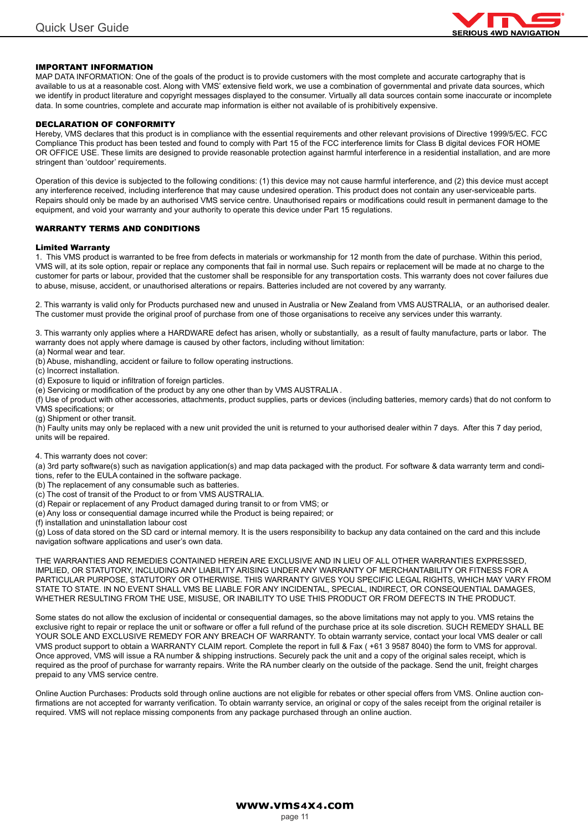

#### IMPORTANT INFORMATION

MAP DATA INFORMATION: One of the goals of the product is to provide customers with the most complete and accurate cartography that is available to us at a reasonable cost. Along with VMS' extensive field work, we use a combination of governmental and private data sources, which we identify in product literature and copyright messages displayed to the consumer. Virtually all data sources contain some inaccurate or incomplete data. In some countries, complete and accurate map information is either not available of is prohibitively expensive.

#### DECLARATION OF CONFORMITY

Hereby, VMS declares that this product is in compliance with the essential requirements and other relevant provisions of Directive 1999/5/EC. FCC Compliance This product has been tested and found to comply with Part 15 of the FCC interference limits for Class B digital devices FOR HOME OR OFFICE USE. These limits are designed to provide reasonable protection against harmful interference in a residential installation, and are more stringent than 'outdoor' requirements.

Operation of this device is subjected to the following conditions: (1) this device may not cause harmful interference, and (2) this device must accept any interference received, including interference that may cause undesired operation. This product does not contain any user-serviceable parts. Repairs should only be made by an authorised VMS service centre. Unauthorised repairs or modifications could result in permanent damage to the equipment, and void your warranty and your authority to operate this device under Part 15 regulations.

#### WARRANTY TERMS AND CONDITIONS

#### Limited Warranty

1. This VMS product is warranted to be free from defects in materials or workmanship for 12 month from the date of purchase. Within this period, VMS will, at its sole option, repair or replace any components that fail in normal use. Such repairs or replacement will be made at no charge to the customer for parts or labour, provided that the customer shall be responsible for any transportation costs. This warranty does not cover failures due to abuse, misuse, accident, or unauthorised alterations or repairs. Batteries included are not covered by any warranty.

2. This warranty is valid only for Products purchased new and unused in Australia or New Zealand from VMS AUSTRALIA, or an authorised dealer. The customer must provide the original proof of purchase from one of those organisations to receive any services under this warranty.

3. This warranty only applies where a HARDWARE defect has arisen, wholly or substantially, as a result of faulty manufacture, parts or labor. The warranty does not apply where damage is caused by other factors, including without limitation:

(a) Normal wear and tear. (b) Abuse, mishandling, accident or failure to follow operating instructions.

(c) Incorrect installation.

(d) Exposure to liquid or infiltration of foreign particles.

(e) Servicing or modification of the product by any one other than by VMS AUSTRALIA .

(f) Use of product with other accessories, attachments, product supplies, parts or devices (including batteries, memory cards) that do not conform to VMS specifications; or

(g) Shipment or other transit.

(h) Faulty units may only be replaced with a new unit provided the unit is returned to your authorised dealer within 7 days. After this 7 day period, units will be repaired.

#### 4. This warranty does not cover:

(a) 3rd party software(s) such as navigation application(s) and map data packaged with the product. For software & data warranty term and conditions, refer to the EULA contained in the software package.

(b) The replacement of any consumable such as batteries.

- (c) The cost of transit of the Product to or from VMS AUSTRALIA.
- (d) Repair or replacement of any Product damaged during transit to or from VMS; or
- (e) Any loss or consequential damage incurred while the Product is being repaired; or
- (f) installation and uninstallation labour cost

(g) Loss of data stored on the SD card or internal memory. It is the users responsibility to backup any data contained on the card and this include navigation software applications and user's own data.

THE WARRANTIES AND REMEDIES CONTAINED HEREIN ARE EXCLUSIVE AND IN LIEU OF ALL OTHER WARRANTIES EXPRESSED, IMPLIED, OR STATUTORY, INCLUDING ANY LIABILITY ARISING UNDER ANY WARRANTY OF MERCHANTABILITY OR FITNESS FOR A PARTICULAR PURPOSE, STATUTORY OR OTHERWISE. THIS WARRANTY GIVES YOU SPECIFIC LEGAL RIGHTS, WHICH MAY VARY FROM STATE TO STATE. IN NO EVENT SHALL VMS BE LIABLE FOR ANY INCIDENTAL, SPECIAL, INDIRECT, OR CONSEQUENTIAL DAMAGES, WHETHER RESULTING FROM THE USE, MISUSE, OR INABILITY TO USE THIS PRODUCT OR FROM DEFECTS IN THE PRODUCT.

Some states do not allow the exclusion of incidental or consequential damages, so the above limitations may not apply to you. VMS retains the exclusive right to repair or replace the unit or software or offer a full refund of the purchase price at its sole discretion. SUCH REMEDY SHALL BE YOUR SOLE AND EXCLUSIVE REMEDY FOR ANY BREACH OF WARRANTY. To obtain warranty service, contact your local VMS dealer or call VMS product support to obtain a WARRANTY CLAIM report. Complete the report in full & Fax ( +61 3 9587 8040) the form to VMS for approval. Once approved, VMS will issue a RA number & shipping instructions. Securely pack the unit and a copy of the original sales receipt, which is required as the proof of purchase for warranty repairs. Write the RA number clearly on the outside of the package. Send the unit, freight charges prepaid to any VMS service centre.

Online Auction Purchases: Products sold through online auctions are not eligible for rebates or other special offers from VMS. Online auction confirmations are not accepted for warranty verification. To obtain warranty service, an original or copy of the sales receipt from the original retailer is required. VMS will not replace missing components from any package purchased through an online auction.

> www.vms4x4.com page 11